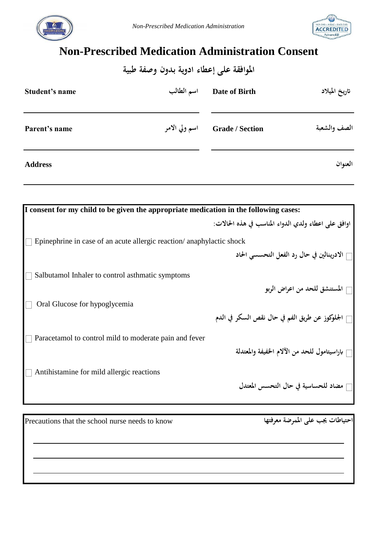



## **Non-Prescribed Medication Administration Consent**

| الموافقة على إعطاء ادوية بدون وصفة طبية |               |                        |               |  |  |
|-----------------------------------------|---------------|------------------------|---------------|--|--|
| Student's name                          | اسم الطالب    | Date of Birth          | تاريخ الميلاد |  |  |
| Parent's name                           | اسم ولي الامر | <b>Grade / Section</b> | الصف والشعبة  |  |  |
| <b>Address</b>                          |               |                        | العنوان       |  |  |

| I consent for my child to be given the appropriate medication in the following cases: |                                                     |  |  |  |
|---------------------------------------------------------------------------------------|-----------------------------------------------------|--|--|--|
|                                                                                       | اوافق على اعطاء ولدى الدواء المناسب في هذه الحالات: |  |  |  |
| Epinephrine in case of an acute allergic reaction/anaphylactic shock                  |                                                     |  |  |  |
|                                                                                       | ∏ الادرينالين في حال رد الفعل التحسسي الحاد         |  |  |  |
| Salbutamol Inhaler to control asthmatic symptoms                                      |                                                     |  |  |  |
|                                                                                       | المستنشق للحد من اعراض الربو                        |  |  |  |
| Oral Glucose for hypoglycemia                                                         |                                                     |  |  |  |
|                                                                                       | الجلوكوز عن طريق الفم في حال نقص السكر في الدم      |  |  |  |
| Paracetamol to control mild to moderate pain and fever                                |                                                     |  |  |  |
|                                                                                       | باراسيتامول للحد من الآلام الخفيفة والمعتدلة        |  |  |  |
| Antihistamine for mild allergic reactions                                             |                                                     |  |  |  |
|                                                                                       | مضاد للحساسية في حال التحسس المعتدل                 |  |  |  |

Precautions that the school nurse needs to know **معرفتها املمرضة على جيب احتياطات**